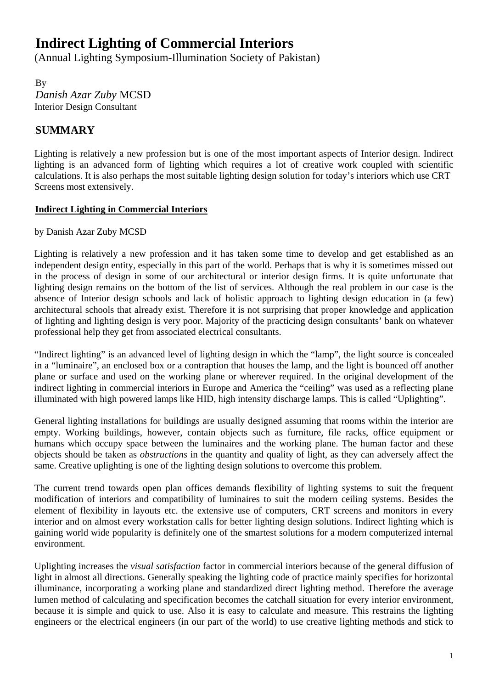# 2B**Indirect Lighting of Commercial Interiors**

(Annual Lighting Symposium-Illumination Society of Pakistan)

**By** 4B*Danish Azar Zuby* MCSD Interior Design Consultant

# **SUMMARY**

Lighting is relatively a new profession but is one of the most important aspects of Interior design. Indirect lighting is an advanced form of lighting which requires a lot of creative work coupled with scientific calculations. It is also perhaps the most suitable lighting design solution for today's interiors which use CRT Screens most extensively.

## <sup>U</sup>**Indirect Lighting in Commercial Interiors**

### by Danish Azar Zuby MCSD

Lighting is relatively a new profession and it has taken some time to develop and get established as an independent design entity, especially in this part of the world. Perhaps that is why it is sometimes missed out in the process of design in some of our architectural or interior design firms. It is quite unfortunate that lighting design remains on the bottom of the list of services. Although the real problem in our case is the absence of Interior design schools and lack of holistic approach to lighting design education in (a few) architectural schools that already exist. Therefore it is not surprising that proper knowledge and application of lighting and lighting design is very poor. Majority of the practicing design consultants' bank on whatever professional help they get from associated electrical consultants.

"Indirect lighting" is an advanced level of lighting design in which the "lamp", the light source is concealed in a "luminaire", an enclosed box or a contraption that houses the lamp, and the light is bounced off another plane or surface and used on the working plane or wherever required. In the original development of the indirect lighting in commercial interiors in Europe and America the "ceiling" was used as a reflecting plane illuminated with high powered lamps like HID, high intensity discharge lamps. This is called "Uplighting".

General lighting installations for buildings are usually designed assuming that rooms within the interior are empty. Working buildings, however, contain objects such as furniture, file racks, office equipment or humans which occupy space between the luminaires and the working plane. The human factor and these objects should be taken as *obstructions* in the quantity and quality of light, as they can adversely affect the same. Creative uplighting is one of the lighting design solutions to overcome this problem.

The current trend towards open plan offices demands flexibility of lighting systems to suit the frequent modification of interiors and compatibility of luminaires to suit the modern ceiling systems. Besides the element of flexibility in layouts etc. the extensive use of computers, CRT screens and monitors in every interior and on almost every workstation calls for better lighting design solutions. Indirect lighting which is gaining world wide popularity is definitely one of the smartest solutions for a modern computerized internal environment.

Uplighting increases the *visual satisfaction* factor in commercial interiors because of the general diffusion of light in almost all directions. Generally speaking the lighting code of practice mainly specifies for horizontal illuminance, incorporating a working plane and standardized direct lighting method. Therefore the average lumen method of calculating and specification becomes the catchall situation for every interior environment, because it is simple and quick to use. Also it is easy to calculate and measure. This restrains the lighting engineers or the electrical engineers (in our part of the world) to use creative lighting methods and stick to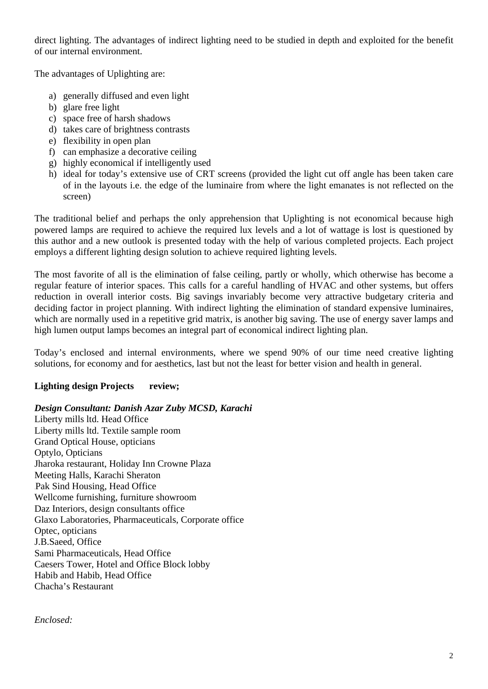direct lighting. The advantages of indirect lighting need to be studied in depth and exploited for the benefit of our internal environment.

The advantages of Uplighting are:

- a) generally diffused and even light
- b) glare free light
- c) space free of harsh shadows
- d) takes care of brightness contrasts
- e) flexibility in open plan
- f) can emphasize a decorative ceiling
- g) highly economical if intelligently used
- h) ideal for today's extensive use of CRT screens (provided the light cut off angle has been taken care of in the layouts i.e. the edge of the luminaire from where the light emanates is not reflected on the screen)

The traditional belief and perhaps the only apprehension that Uplighting is not economical because high powered lamps are required to achieve the required lux levels and a lot of wattage is lost is questioned by this author and a new outlook is presented today with the help of various completed projects. Each project employs a different lighting design solution to achieve required lighting levels.

The most favorite of all is the elimination of false ceiling, partly or wholly, which otherwise has become a regular feature of interior spaces. This calls for a careful handling of HVAC and other systems, but offers reduction in overall interior costs. Big savings invariably become very attractive budgetary criteria and deciding factor in project planning. With indirect lighting the elimination of standard expensive luminaires, which are normally used in a repetitive grid matrix, is another big saving. The use of energy saver lamps and high lumen output lamps becomes an integral part of economical indirect lighting plan.

Today's enclosed and internal environments, where we spend 90% of our time need creative lighting solutions, for economy and for aesthetics, last but not the least for better vision and health in general.

#### **Lighting design Projects review;**

#### *Design Consultant: Danish Azar Zuby MCSD, Karachi*

Liberty mills ltd. Head Office Liberty mills ltd. Textile sample room Grand Optical House, opticians Optylo, Opticians Jharoka restaurant, Holiday Inn Crowne Plaza Meeting Halls, Karachi Sheraton Pak Sind Housing, Head Office Wellcome furnishing, furniture showroom Daz Interiors, design consultants office Glaxo Laboratories, Pharmaceuticals, Corporate office Optec, opticians J.B.Saeed, Office Sami Pharmaceuticals, Head Office Caesers Tower, Hotel and Office Block lobby Habib and Habib, Head Office Chacha's Restaurant

*Enclosed:*